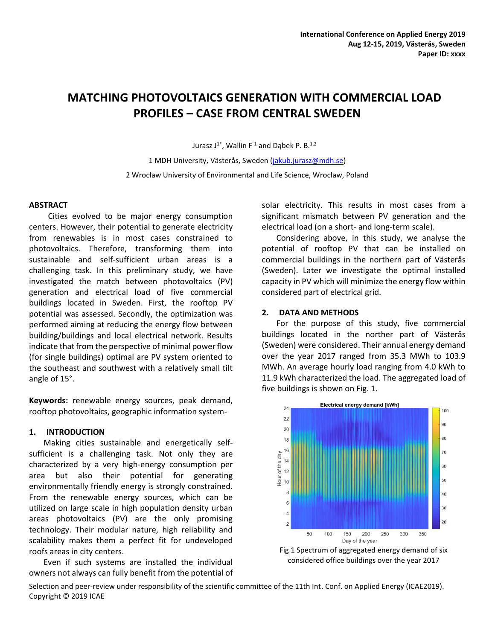# **MATCHING PHOTOVOLTAICS GENERATION WITH COMMERCIAL LOAD PROFILES – CASE FROM CENTRAL SWEDEN**

Jurasz J<sup>1\*</sup>, Wallin F<sup>1</sup> and Dąbek P. B.<sup>1,2</sup>

1 MDH University, Västerås, Sweden [\(jakub.jurasz@mdh.se\)](mailto:jakub.jurasz@mdh.se) 2 Wrocław University of Environmental and Life Science, Wrocław, Poland

## **ABSTRACT**

Cities evolved to be major energy consumption centers. However, their potential to generate electricity from renewables is in most cases constrained to photovoltaics. Therefore, transforming them into sustainable and self-sufficient urban areas is a challenging task. In this preliminary study, we have investigated the match between photovoltaics (PV) generation and electrical load of five commercial buildings located in Sweden. First, the rooftop PV potential was assessed. Secondly, the optimization was performed aiming at reducing the energy flow between building/buildings and local electrical network. Results indicate that from the perspective of minimal power flow (for single buildings) optimal are PV system oriented to the southeast and southwest with a relatively small tilt angle of 15°.

**Keywords:** renewable energy sources, peak demand, rooftop photovoltaics, geographic information system-

# **1. INTRODUCTION**

Making cities sustainable and energetically selfsufficient is a challenging task. Not only they are characterized by a very high-energy consumption per area but also their potential for generating environmentally friendly energy is strongly constrained. From the renewable energy sources, which can be utilized on large scale in high population density urban areas photovoltaics (PV) are the only promising technology. Their modular nature, high reliability and scalability makes them a perfect fit for undeveloped roofs areas in city centers.

Even if such systems are installed the individual owners not always can fully benefit from the potential of solar electricity. This results in most cases from a significant mismatch between PV generation and the electrical load (on a short- and long-term scale).

Considering above, in this study, we analyse the potential of rooftop PV that can be installed on commercial buildings in the northern part of Västerås (Sweden). Later we investigate the optimal installed capacity in PV which will minimize the energy flow within considered part of electrical grid.

# **2. DATA AND METHODS**

For the purpose of this study, five commercial buildings located in the norther part of Västerås (Sweden) were considered. Their annual energy demand over the year 2017 ranged from 35.3 MWh to 103.9 MWh. An average hourly load ranging from 4.0 kWh to 11.9 kWh characterized the load. The aggregated load of five buildings is shown on Fig. 1.





Selection and peer-review under responsibility of the scientific committee of the 11th Int. Conf. on Applied Energy (ICAE2019). Copyright © 2019 ICAE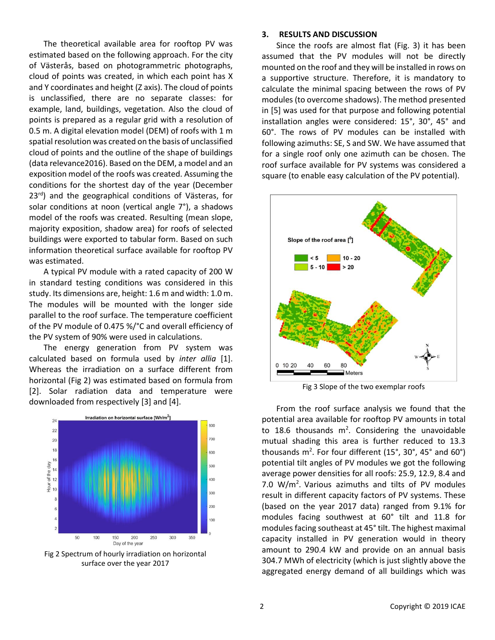The theoretical available area for rooftop PV was estimated based on the following approach. For the city of Västerås, based on photogrammetric photographs, cloud of points was created, in which each point has X and Y coordinates and height (Z axis). The cloud of points is unclassified, there are no separate classes: for example, land, buildings, vegetation. Also the cloud of points is prepared as a regular grid with a resolution of 0.5 m. A digital elevation model (DEM) of roofs with 1 m spatial resolution was created on the basis of unclassified cloud of points and the outline of the shape of buildings (data relevance2016). Based on the DEM, a model and an exposition model of the roofs was created. Assuming the conditions for the shortest day of the year (December 23<sup>rd</sup>) and the geographical conditions of Västeras, for solar conditions at noon (vertical angle 7°), a shadows model of the roofs was created. Resulting (mean slope, majority exposition, shadow area) for roofs of selected buildings were exported to tabular form. Based on such information theoretical surface available for rooftop PV was estimated.

A typical PV module with a rated capacity of 200 W in standard testing conditions was considered in this study. Its dimensions are, height: 1.6 m and width: 1.0 m. The modules will be mounted with the longer side parallel to the roof surface. The temperature coefficient of the PV module of 0.475 %/°C and overall efficiency of the PV system of 90% were used in calculations.

The energy generation from PV system was calculated based on formula used by *inter allia* [1]. Whereas the irradiation on a surface different from horizontal (Fig 2) was estimated based on formula from [2]. Solar radiation data and temperature were downloaded from respectively [3] and [4].



Fig 2 Spectrum of hourly irradiation on horizontal surface over the year 2017

#### **3. RESULTS AND DISCUSSION**

Since the roofs are almost flat (Fig. 3) it has been assumed that the PV modules will not be directly mounted on the roof and they will be installed in rows on a supportive structure. Therefore, it is mandatory to calculate the minimal spacing between the rows of PV modules (to overcome shadows). The method presented in [5] was used for that purpose and following potential installation angles were considered: 15°, 30°, 45° and 60°. The rows of PV modules can be installed with following azimuths: SE, S and SW. We have assumed that for a single roof only one azimuth can be chosen. The roof surface available for PV systems was considered a square (to enable easy calculation of the PV potential).



Fig 3 Slope of the two exemplar roofs

From the roof surface analysis we found that the potential area available for rooftop PV amounts in total to 18.6 thousands  $m^2$ . Considering the unavoidable mutual shading this area is further reduced to 13.3 thousands m<sup>2</sup>. For four different (15°, 30°, 45° and 60°) potential tilt angles of PV modules we got the following average power densities for all roofs: 25.9, 12.9, 8.4 and 7.0  $W/m<sup>2</sup>$ . Various azimuths and tilts of PV modules result in different capacity factors of PV systems. These (based on the year 2017 data) ranged from 9.1% for modules facing southwest at 60° tilt and 11.8 for modules facing southeast at 45° tilt. The highest maximal capacity installed in PV generation would in theory amount to 290.4 kW and provide on an annual basis 304.7 MWh of electricity (which is just slightly above the aggregated energy demand of all buildings which was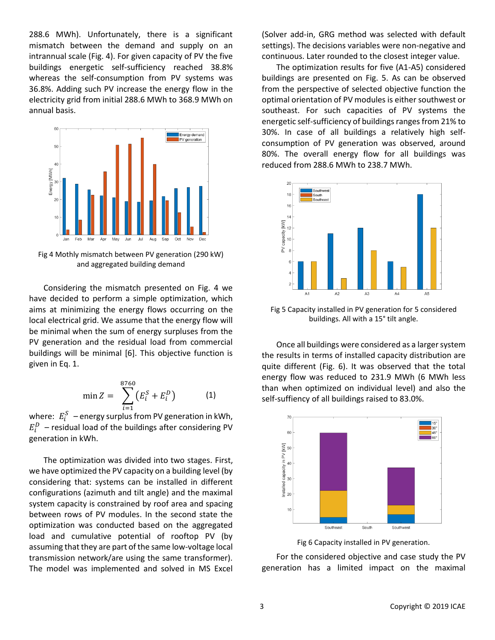288.6 MWh). Unfortunately, there is a significant mismatch between the demand and supply on an intrannual scale (Fig. 4). For given capacity of PV the five buildings energetic self-sufficiency reached 38.8% whereas the self-consumption from PV systems was 36.8%. Adding such PV increase the energy flow in the electricity grid from initial 288.6 MWh to 368.9 MWh on annual basis.



Fig 4 Mothly mismatch between PV generation (290 kW) and aggregated building demand

Considering the mismatch presented on Fig. 4 we have decided to perform a simple optimization, which aims at minimizing the energy flows occurring on the local electrical grid. We assume that the energy flow will be minimal when the sum of energy surpluses from the PV generation and the residual load from commercial buildings will be minimal [6]. This objective function is given in Eq. 1.

$$
\min Z = \sum_{i=1}^{8760} (E_i^S + E_i^D) \tag{1}
$$

where:  $\; E_i^S \;$  – energy surplus from PV generation in kWh,  $E_i^D$  – residual load of the buildings after considering PV generation in kWh.

The optimization was divided into two stages. First, we have optimized the PV capacity on a building level (by considering that: systems can be installed in different configurations (azimuth and tilt angle) and the maximal system capacity is constrained by roof area and spacing between rows of PV modules. In the second state the optimization was conducted based on the aggregated load and cumulative potential of rooftop PV (by assuming that they are part of the same low-voltage local transmission network/are using the same transformer). The model was implemented and solved in MS Excel (Solver add-in, GRG method was selected with default settings). The decisions variables were non-negative and continuous. Later rounded to the closest integer value.

The optimization results for five (A1-A5) considered buildings are presented on Fig. 5. As can be observed from the perspective of selected objective function the optimal orientation of PV modules is either southwest or southeast. For such capacities of PV systems the energetic self-sufficiency of buildings ranges from 21% to 30%. In case of all buildings a relatively high selfconsumption of PV generation was observed, around 80%. The overall energy flow for all buildings was reduced from 288.6 MWh to 238.7 MWh.



Fig 5 Capacity installed in PV generation for 5 considered buildings. All with a 15° tilt angle.

Once all buildings were considered as a larger system the results in terms of installed capacity distribution are quite different (Fig. 6). It was observed that the total energy flow was reduced to 231.9 MWh (6 MWh less than when optimized on individual level) and also the self-suffiency of all buildings raised to 83.0%.



Fig 6 Capacity installed in PV generation.

For the considered objective and case study the PV generation has a limited impact on the maximal